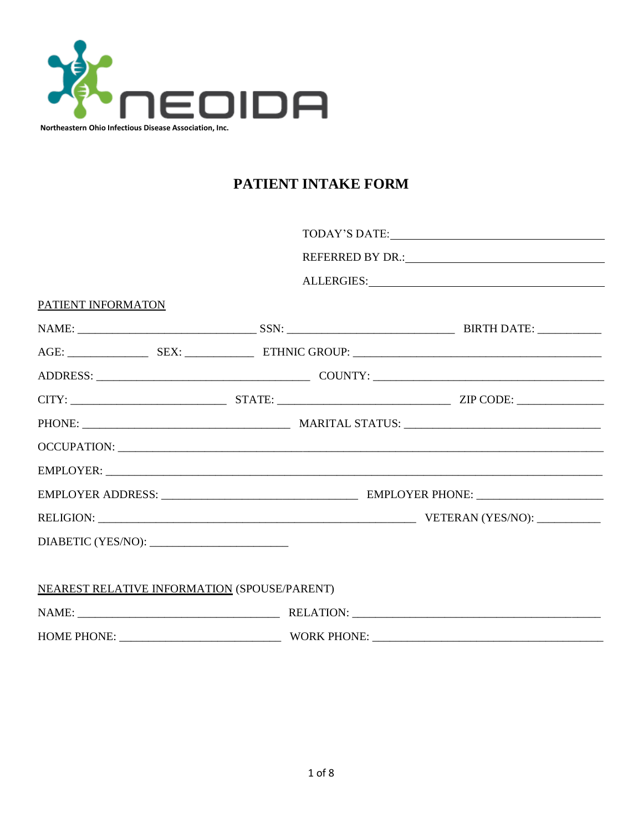

# PATIENT INTAKE FORM

|                                              |  | ALLERGIES: New York Changes and Security and Security and Security and Security and Security and Security and Security and Security and Security and Security and Security and Security and Security and Security and Security |  |
|----------------------------------------------|--|--------------------------------------------------------------------------------------------------------------------------------------------------------------------------------------------------------------------------------|--|
| PATIENT INFORMATON                           |  |                                                                                                                                                                                                                                |  |
|                                              |  |                                                                                                                                                                                                                                |  |
|                                              |  |                                                                                                                                                                                                                                |  |
|                                              |  |                                                                                                                                                                                                                                |  |
|                                              |  |                                                                                                                                                                                                                                |  |
|                                              |  |                                                                                                                                                                                                                                |  |
|                                              |  |                                                                                                                                                                                                                                |  |
|                                              |  |                                                                                                                                                                                                                                |  |
|                                              |  |                                                                                                                                                                                                                                |  |
|                                              |  |                                                                                                                                                                                                                                |  |
|                                              |  |                                                                                                                                                                                                                                |  |
|                                              |  |                                                                                                                                                                                                                                |  |
| NEAREST RELATIVE INFORMATION (SPOUSE/PARENT) |  |                                                                                                                                                                                                                                |  |
|                                              |  |                                                                                                                                                                                                                                |  |
| HOME PHONE: WORK PHONE:                      |  |                                                                                                                                                                                                                                |  |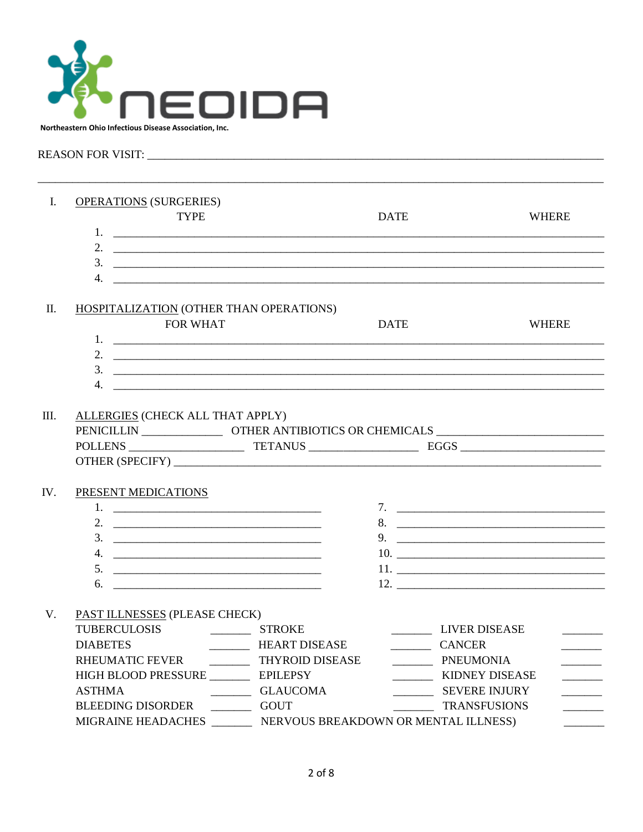

## 

| L    | <b>OPERATIONS (SURGERIES)</b><br><b>TYPE</b>  | <b>DATE</b>                                                       | <b>WHERE</b>             |
|------|-----------------------------------------------|-------------------------------------------------------------------|--------------------------|
|      |                                               |                                                                   |                          |
|      |                                               | $\frac{3}{2}$                                                     |                          |
|      |                                               |                                                                   |                          |
| П.   | HOSPITALIZATION (OTHER THAN OPERATIONS)       |                                                                   |                          |
|      | <b>FOR WHAT</b>                               | <b>DATE</b>                                                       | <b>WHERE</b>             |
|      |                                               |                                                                   |                          |
|      |                                               |                                                                   |                          |
|      |                                               |                                                                   |                          |
|      |                                               |                                                                   |                          |
| III. | ALLERGIES (CHECK ALL THAT APPLY)              |                                                                   |                          |
|      |                                               |                                                                   |                          |
|      |                                               |                                                                   |                          |
|      |                                               |                                                                   |                          |
|      |                                               |                                                                   |                          |
| IV.  | PRESENT MEDICATIONS                           |                                                                   |                          |
|      |                                               |                                                                   |                          |
|      |                                               |                                                                   |                          |
|      | $3.$ $\qquad \qquad$                          | 9. $\qquad \qquad$                                                |                          |
|      |                                               |                                                                   |                          |
|      |                                               |                                                                   |                          |
|      |                                               |                                                                   |                          |
| V.   | PAST ILLNESSES (PLEASE CHECK)                 |                                                                   |                          |
|      |                                               | LIVER DISEASE                                                     | $\frac{1}{2}$            |
|      | <b>DIABETES</b>                               | HEART DISEASE<br>CANCER                                           |                          |
|      | RHEUMATIC FEVER _____________ THYROID DISEASE | ___________ PNEUMONIA                                             | $\overline{\phantom{a}}$ |
|      | HIGH BLOOD PRESSURE ___________ EPILEPSY      | <b>KIDNEY DISEASE</b>                                             |                          |
|      | <b>ASTHMA</b><br>GLAUCOMA                     | SEVERE INJURY                                                     |                          |
|      | BLEEDING DISORDER ____________ GOUT           | <b>TRANSFUSIONS</b>                                               | $\frac{1}{1}$            |
|      |                                               | MIGRAINE HEADACHES _________ NERVOUS BREAKDOWN OR MENTAL ILLNESS) |                          |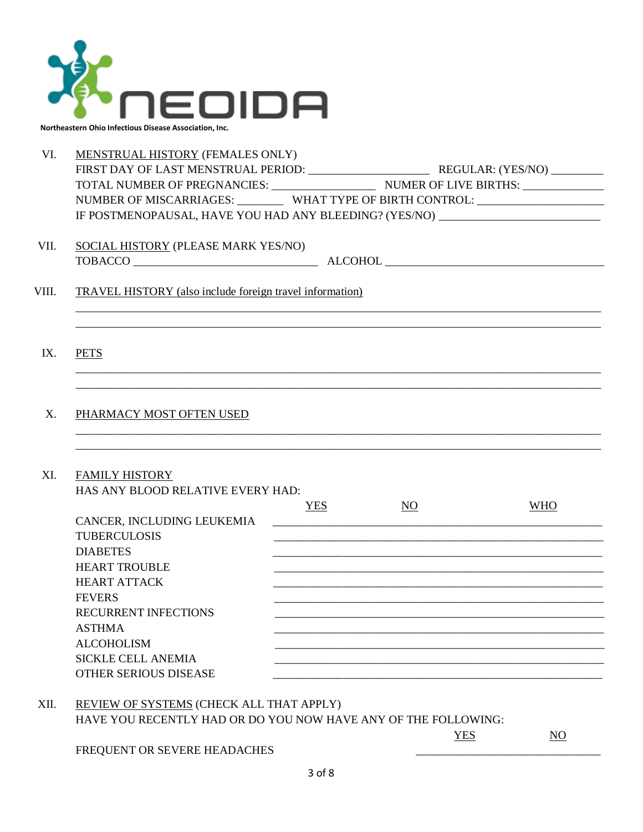

VI. MENSTRUAL HISTORY (FEMALES ONLY) FIRST DAY OF LAST MENSTRUAL PERIOD: \_\_\_\_\_\_\_\_\_\_\_\_\_\_\_\_\_\_\_\_\_ REGULAR: (YES/NO) \_\_\_\_\_\_\_\_\_ TOTAL NUMBER OF PREGNANCIES: \_\_\_\_\_\_\_\_\_\_\_\_\_\_\_\_\_\_ NUMER OF LIVE BIRTHS: \_\_\_\_\_\_\_\_\_\_\_\_\_\_ NUMBER OF MISCARRIAGES: WHAT TYPE OF BIRTH CONTROL: \_\_\_\_\_\_\_\_\_\_\_\_\_\_\_\_\_\_\_\_\_\_\_\_\_\_\_\_ IF POSTMENOPAUSAL, HAVE YOU HAD ANY BLEEDING? (YES/NO) VII. SOCIAL HISTORY (PLEASE MARK YES/NO) TOBACCO \_\_\_\_\_\_\_\_\_\_\_\_\_\_\_\_\_\_\_\_\_\_\_\_\_\_\_\_\_\_\_\_ ALCOHOL \_\_\_\_\_\_\_\_\_\_\_\_\_\_\_\_\_\_\_\_\_\_\_\_\_\_\_\_\_\_\_\_\_\_\_\_\_\_ VIII. TRAVEL HISTORY (also include foreign travel information) \_\_\_\_\_\_\_\_\_\_\_\_\_\_\_\_\_\_\_\_\_\_\_\_\_\_\_\_\_\_\_\_\_\_\_\_\_\_\_\_\_\_\_\_\_\_\_\_\_\_\_\_\_\_\_\_\_\_\_\_\_\_\_\_\_\_\_\_\_\_\_\_\_\_\_\_\_\_\_\_\_\_\_\_\_\_\_\_\_\_\_ \_\_\_\_\_\_\_\_\_\_\_\_\_\_\_\_\_\_\_\_\_\_\_\_\_\_\_\_\_\_\_\_\_\_\_\_\_\_\_\_\_\_\_\_\_\_\_\_\_\_\_\_\_\_\_\_\_\_\_\_\_\_\_\_\_\_\_\_\_\_\_\_\_\_\_\_\_\_\_\_\_\_\_\_\_\_\_\_\_\_\_ IX. PETS \_\_\_\_\_\_\_\_\_\_\_\_\_\_\_\_\_\_\_\_\_\_\_\_\_\_\_\_\_\_\_\_\_\_\_\_\_\_\_\_\_\_\_\_\_\_\_\_\_\_\_\_\_\_\_\_\_\_\_\_\_\_\_\_\_\_\_\_\_\_\_\_\_\_\_\_\_\_\_\_\_\_\_\_\_\_\_\_\_\_\_ \_\_\_\_\_\_\_\_\_\_\_\_\_\_\_\_\_\_\_\_\_\_\_\_\_\_\_\_\_\_\_\_\_\_\_\_\_\_\_\_\_\_\_\_\_\_\_\_\_\_\_\_\_\_\_\_\_\_\_\_\_\_\_\_\_\_\_\_\_\_\_\_\_\_\_\_\_\_\_\_\_\_\_\_\_\_\_\_\_\_\_ X. PHARMACY MOST OFTEN USED \_\_\_\_\_\_\_\_\_\_\_\_\_\_\_\_\_\_\_\_\_\_\_\_\_\_\_\_\_\_\_\_\_\_\_\_\_\_\_\_\_\_\_\_\_\_\_\_\_\_\_\_\_\_\_\_\_\_\_\_\_\_\_\_\_\_\_\_\_\_\_\_\_\_\_\_\_\_\_\_\_\_\_\_\_\_\_\_\_\_\_ \_\_\_\_\_\_\_\_\_\_\_\_\_\_\_\_\_\_\_\_\_\_\_\_\_\_\_\_\_\_\_\_\_\_\_\_\_\_\_\_\_\_\_\_\_\_\_\_\_\_\_\_\_\_\_\_\_\_\_\_\_\_\_\_\_\_\_\_\_\_\_\_\_\_\_\_\_\_\_\_\_\_\_\_\_\_\_\_\_\_\_ XI. FAMILY HISTORY HAS ANY BLOOD RELATIVE EVERY HAD: YES NO WHO CANCER, INCLUDING LEUKEMIA TUBERCULOSIS DIABETES \_\_\_\_\_\_\_\_\_\_\_\_\_\_\_\_\_\_\_\_\_\_\_\_\_\_\_\_\_\_\_\_\_\_\_\_\_\_\_\_\_\_\_\_\_\_\_\_\_\_\_\_\_\_\_\_\_ HEART TROUBLE HEART ATTACK FEVERS \_\_\_\_\_\_\_\_\_\_\_\_\_\_\_\_\_\_\_\_\_\_\_\_\_\_\_\_\_\_\_\_\_\_\_\_\_\_\_\_\_\_\_\_\_\_\_\_\_\_\_\_\_\_\_\_\_ RECURRENT INFECTIONS  $\Delta \text{STHMA}$ ALCOHOLISM SICKLE CELL ANEMIA OTHER SERIOUS DISEASE

XII. REVIEW OF SYSTEMS (CHECK ALL THAT APPLY) HAVE YOU RECENTLY HAD OR DO YOU NOW HAVE ANY OF THE FOLLOWING:

YES NO

FREQUENT OR SEVERE HEADACHES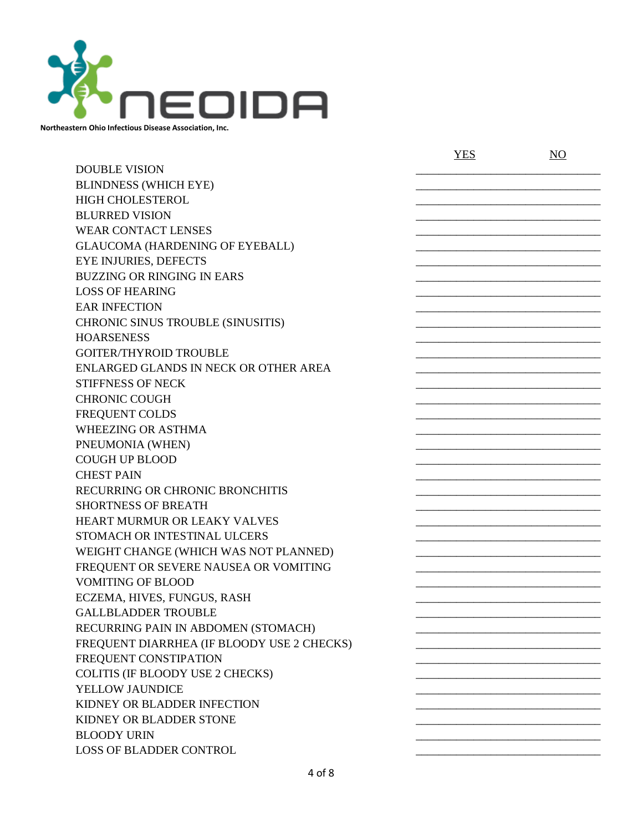

DOUBLE VISION BLINDNESS (WHICH EYE) HIGH CHOLESTEROL BLURRED VISION WEAR CONTACT LENSES GLAUCOMA (HARDENING OF EYEBALL) EYE INJURIES, DEFECTS BUZZING OR RINGING IN EARS LOSS OF HEARING EAR INFECTION CHRONIC SINUS TROUBLE (SINUSITIS) HOARSENESS \_\_\_\_\_\_\_\_\_\_\_\_\_\_\_\_\_\_\_\_\_\_\_\_\_\_\_\_\_\_\_\_ GOITER/THYROID TROUBLE ENLARGED GLANDS IN NECK OR OTHER AREA STIFFNESS OF NECK CHRONIC COUGH FREQUENT COLDS WHEEZING OR ASTHMA PNEUMONIA (WHEN) COUGH UP BLOOD \_\_\_\_\_\_\_\_\_\_\_\_\_\_\_\_\_\_\_\_\_\_\_\_\_\_\_\_\_\_\_\_ CHEST PAIN RECURRING OR CHRONIC BRONCHITIS SHORTNESS OF BREATH HEART MURMUR OR LEAKY VALVES STOMACH OR INTESTINAL ULCERS WEIGHT CHANGE (WHICH WAS NOT PLANNED) FREQUENT OR SEVERE NAUSEA OR VOMITING VOMITING OF BLOOD ECZEMA, HIVES, FUNGUS, RASH GALLBLADDER TROUBLE RECURRING PAIN IN ABDOMEN (STOMACH) FREQUENT DIARRHEA (IF BLOODY USE 2 CHECKS) FREQUENT CONSTIPATION COLITIS (IF BLOODY USE 2 CHECKS) YELLOW JAUNDICE KIDNEY OR BLADDER INFECTION KIDNEY OR BLADDER STONE BLOODY URIN LOSS OF BLADDER CONTROL

YES NO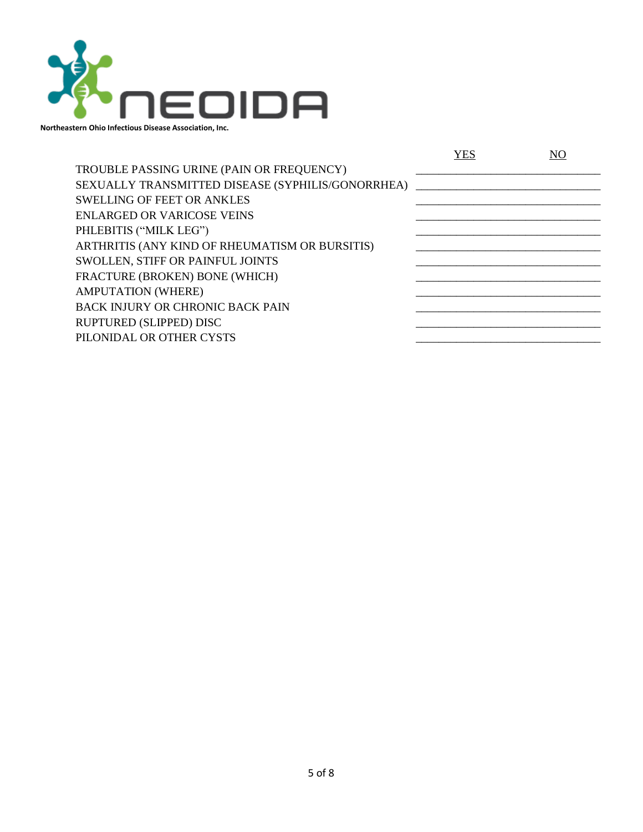

|                                                   | YES |  |
|---------------------------------------------------|-----|--|
| TROUBLE PASSING URINE (PAIN OR FREQUENCY)         |     |  |
| SEXUALLY TRANSMITTED DISEASE (SYPHILIS/GONORRHEA) |     |  |
| <b>SWELLING OF FEET OR ANKLES</b>                 |     |  |
| <b>ENLARGED OR VARICOSE VEINS</b>                 |     |  |
| PHLEBITIS ("MILK LEG")                            |     |  |
| ARTHRITIS (ANY KIND OF RHEUMATISM OR BURSITIS)    |     |  |
| SWOLLEN, STIFF OR PAINFUL JOINTS                  |     |  |
| FRACTURE (BROKEN) BONE (WHICH)                    |     |  |
| <b>AMPUTATION (WHERE)</b>                         |     |  |
| <b>BACK INJURY OR CHRONIC BACK PAIN</b>           |     |  |
| RUPTURED (SLIPPED) DISC                           |     |  |
| PILONIDAL OR OTHER CYSTS                          |     |  |
|                                                   |     |  |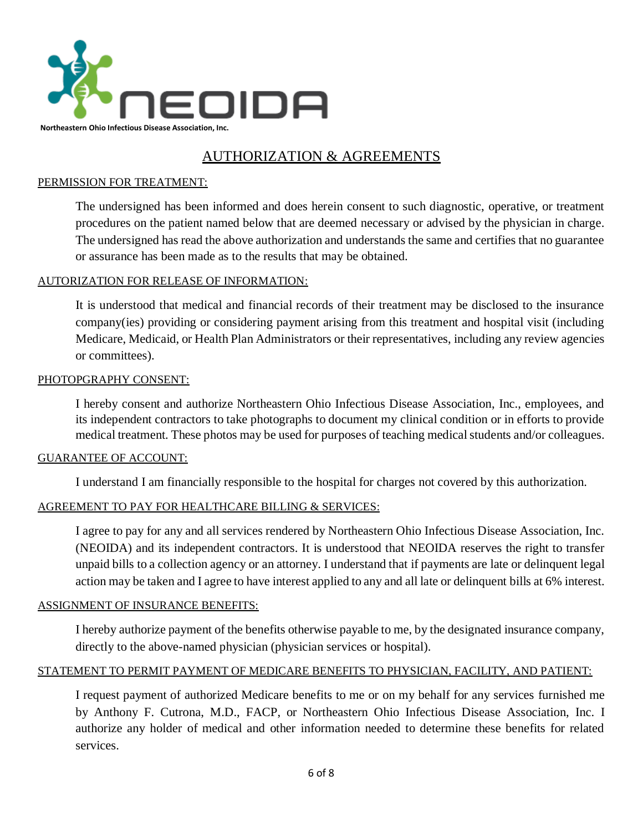

# AUTHORIZATION & AGREEMENTS

## PERMISSION FOR TREATMENT:

The undersigned has been informed and does herein consent to such diagnostic, operative, or treatment procedures on the patient named below that are deemed necessary or advised by the physician in charge. The undersigned has read the above authorization and understands the same and certifies that no guarantee or assurance has been made as to the results that may be obtained.

### AUTORIZATION FOR RELEASE OF INFORMATION:

It is understood that medical and financial records of their treatment may be disclosed to the insurance company(ies) providing or considering payment arising from this treatment and hospital visit (including Medicare, Medicaid, or Health Plan Administrators or their representatives, including any review agencies or committees).

#### PHOTOPGRAPHY CONSENT:

I hereby consent and authorize Northeastern Ohio Infectious Disease Association, Inc., employees, and its independent contractors to take photographs to document my clinical condition or in efforts to provide medical treatment. These photos may be used for purposes of teaching medical students and/or colleagues.

#### GUARANTEE OF ACCOUNT:

I understand I am financially responsible to the hospital for charges not covered by this authorization.

## AGREEMENT TO PAY FOR HEALTHCARE BILLING & SERVICES:

I agree to pay for any and all services rendered by Northeastern Ohio Infectious Disease Association, Inc. (NEOIDA) and its independent contractors. It is understood that NEOIDA reserves the right to transfer unpaid bills to a collection agency or an attorney. I understand that if payments are late or delinquent legal action may be taken and I agree to have interest applied to any and all late or delinquent bills at 6% interest.

#### ASSIGNMENT OF INSURANCE BENEFITS:

I hereby authorize payment of the benefits otherwise payable to me, by the designated insurance company, directly to the above-named physician (physician services or hospital).

#### STATEMENT TO PERMIT PAYMENT OF MEDICARE BENEFITS TO PHYSICIAN, FACILITY, AND PATIENT:

I request payment of authorized Medicare benefits to me or on my behalf for any services furnished me by Anthony F. Cutrona, M.D., FACP, or Northeastern Ohio Infectious Disease Association, Inc. I authorize any holder of medical and other information needed to determine these benefits for related services.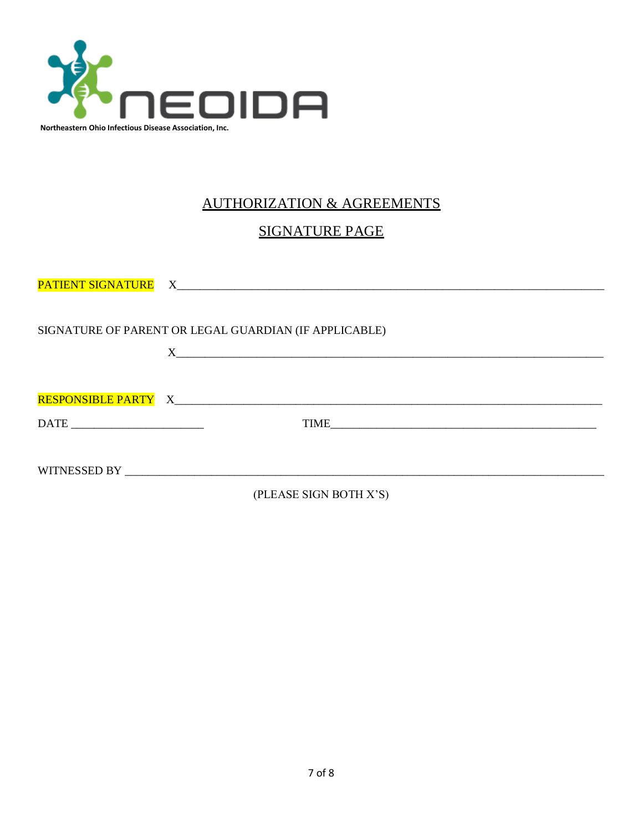

# AUTHORIZATION & AGREEMENTS

# SIGNATURE PAGE

| SIGNATURE OF PARENT OR LEGAL GUARDIAN (IF APPLICABLE) |
|-------------------------------------------------------|
| $X$ <sub>1</sub>                                      |
|                                                       |
|                                                       |
|                                                       |
|                                                       |
|                                                       |
| (PLEASE SIGN BOTH X'S)                                |

7 of 8